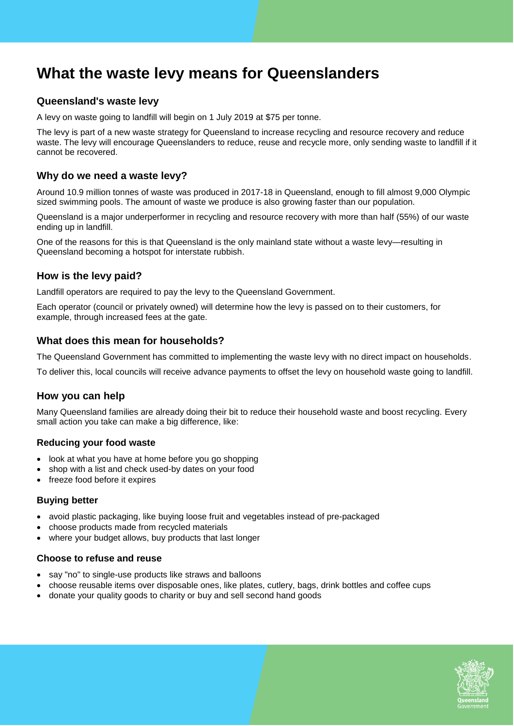# **What the waste levy means for Queenslanders**

# **Queensland's waste levy**

A levy on waste going to landfill will begin on 1 July 2019 at \$75 per tonne.

The levy is part of a new waste strategy for Queensland to increase recycling and resource recovery and reduce waste. The levy will encourage Queenslanders to reduce, reuse and recycle more, only sending waste to landfill if it cannot be recovered.

### **Why do we need a waste levy?**

Around 10.9 million tonnes of waste was produced in 2017-18 in Queensland, enough to fill almost 9,000 Olympic sized swimming pools. The amount of waste we produce is also growing faster than our population.

Queensland is a major underperformer in recycling and resource recovery with more than half (55%) of our waste ending up in landfill.

One of the reasons for this is that Queensland is the only mainland state without a waste levy—resulting in Queensland becoming a hotspot for interstate rubbish.

# **How is the levy paid?**

Landfill operators are required to pay the levy to the Queensland Government.

Each operator (council or privately owned) will determine how the levy is passed on to their customers, for example, through increased fees at the gate.

### **What does this mean for households?**

The Queensland Government has committed to implementing the waste levy with no direct impact on households.

To deliver this, local councils will receive advance payments to offset the levy on household waste going to landfill.

# **How you can help**

Many Queensland families are already doing their bit to reduce their household waste and boost recycling. Every small action you take can make a big difference, like:

#### **Reducing your food waste**

- look at what you have at home before you go shopping
- shop with a list and check used-by dates on your food
- freeze food before it expires

#### **Buying better**

- avoid plastic packaging, like buying loose fruit and vegetables instead of pre-packaged
- choose products made from recycled materials
- where your budget allows, buy products that last longer

#### **Choose to refuse and reuse**

- say "no" to single-use products like straws and balloons
- choose reusable items over disposable ones, like plates, cutlery, bags, drink bottles and coffee cups
- donate your quality goods to charity or buy and sell second hand goods